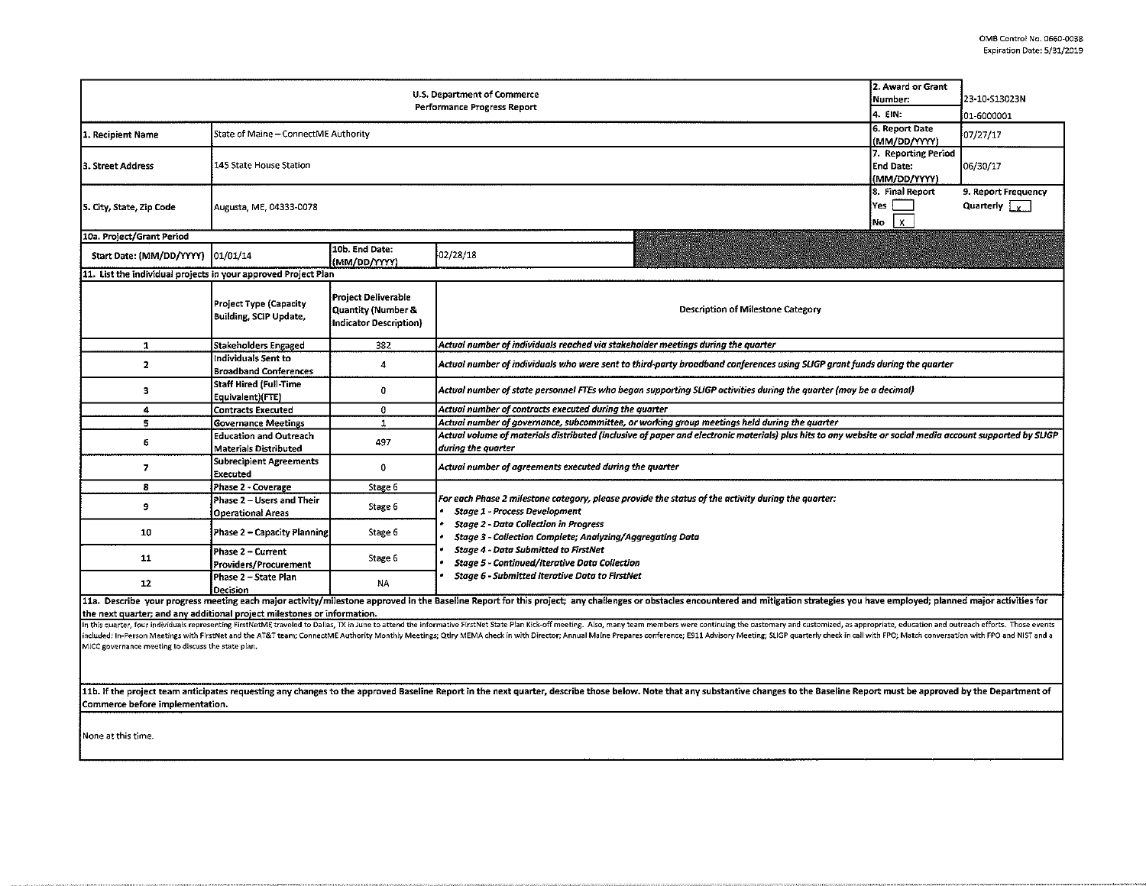| <b>U.S. Department of Commerce</b><br>Performance Progress Report                                                                                                                                                                                                                                                                                                                                                                                                                                                                           |                                                                |                                                                                                              |                                                                                                                                                                                |  | 23-10-513023N<br>01-6000001 |  |  |  |  |  |
|---------------------------------------------------------------------------------------------------------------------------------------------------------------------------------------------------------------------------------------------------------------------------------------------------------------------------------------------------------------------------------------------------------------------------------------------------------------------------------------------------------------------------------------------|----------------------------------------------------------------|--------------------------------------------------------------------------------------------------------------|--------------------------------------------------------------------------------------------------------------------------------------------------------------------------------|--|-----------------------------|--|--|--|--|--|
| 1. Recipient Name                                                                                                                                                                                                                                                                                                                                                                                                                                                                                                                           | State of Maine - ConnectME Authority                           | 6. Report Date<br>(MM/DD/YYYY)                                                                               | 07/27/17                                                                                                                                                                       |  |                             |  |  |  |  |  |
| 3. Street Address                                                                                                                                                                                                                                                                                                                                                                                                                                                                                                                           | 145 State House Station                                        | 7. Reporting Period<br><b>End Date:</b><br>(MM/DD/YYYY)                                                      | 06/30/17                                                                                                                                                                       |  |                             |  |  |  |  |  |
| 5. City, State, Zip Code                                                                                                                                                                                                                                                                                                                                                                                                                                                                                                                    | Augusta, ME, 04333-0078                                        | 8. Final Report<br>Yes<br>$\mathbf{x}$<br>No.                                                                | 9. Report Frequency<br>Quarterly $\sqrt{v}$                                                                                                                                    |  |                             |  |  |  |  |  |
| 10a. Project/Grant Period                                                                                                                                                                                                                                                                                                                                                                                                                                                                                                                   |                                                                |                                                                                                              |                                                                                                                                                                                |  |                             |  |  |  |  |  |
| Start Date: (MM/DD/YYYY)                                                                                                                                                                                                                                                                                                                                                                                                                                                                                                                    | 01/01/14                                                       | 10b. End Date:<br>(MM/DD/YYYY)                                                                               | 02/28/18                                                                                                                                                                       |  |                             |  |  |  |  |  |
| 11. List the individual projects in your approved Project Plan                                                                                                                                                                                                                                                                                                                                                                                                                                                                              |                                                                |                                                                                                              |                                                                                                                                                                                |  |                             |  |  |  |  |  |
|                                                                                                                                                                                                                                                                                                                                                                                                                                                                                                                                             | <b>Project Type (Capacity</b><br><b>Building, SCIP Update,</b> | Project Deliverable<br>Quantity (Number &<br>Description of Milestone Category<br>Indicator Description)     |                                                                                                                                                                                |  |                             |  |  |  |  |  |
| $\mathbf{1}$                                                                                                                                                                                                                                                                                                                                                                                                                                                                                                                                | <b>Stakeholders Engaged</b>                                    | 382                                                                                                          | Actual number of individuals reached via stakeholder meetings during the quarter                                                                                               |  |                             |  |  |  |  |  |
| $\mathbf{2}$                                                                                                                                                                                                                                                                                                                                                                                                                                                                                                                                | Individuals Sent to<br><b>Broadband Conferences</b>            | $\overline{4}$                                                                                               | Actual number of individuals who were sent to third-party broadband conferences using SLIGP grant funds during the quarter                                                     |  |                             |  |  |  |  |  |
| 3                                                                                                                                                                                                                                                                                                                                                                                                                                                                                                                                           | <b>Staff Hired (Full-Time</b><br>Equivalent)(FTE)              | $\mathbf{0}$                                                                                                 | Actual number of state personnel FTEs who began supporting SLIGP activities during the quarter (may be a decimal)                                                              |  |                             |  |  |  |  |  |
| 4                                                                                                                                                                                                                                                                                                                                                                                                                                                                                                                                           | <b>Contracts Executed</b>                                      | $\mathbf{0}$                                                                                                 | Actual number of contracts executed during the quarter                                                                                                                         |  |                             |  |  |  |  |  |
| 5                                                                                                                                                                                                                                                                                                                                                                                                                                                                                                                                           | <b>Governance Meetings</b>                                     | Actual number of governance, subcommittee, or working group meetings held during the quarter<br>$\mathbf{1}$ |                                                                                                                                                                                |  |                             |  |  |  |  |  |
| 6                                                                                                                                                                                                                                                                                                                                                                                                                                                                                                                                           | <b>Education and Outreach</b><br><b>Materials Distributed</b>  | 497                                                                                                          | Actual volume of materials distributed (inclusive of paper and electronic materials) plus hits to any website or social media account supported by SLIGP<br>during the quarter |  |                             |  |  |  |  |  |
| $\overline{7}$                                                                                                                                                                                                                                                                                                                                                                                                                                                                                                                              | <b>Subrecipient Agreements</b><br>Executed                     | $\mathbf{0}$                                                                                                 | Actual number of agreements executed during the quarter                                                                                                                        |  |                             |  |  |  |  |  |
| 8                                                                                                                                                                                                                                                                                                                                                                                                                                                                                                                                           | Phase 2 - Coverage                                             | Stage 6                                                                                                      |                                                                                                                                                                                |  |                             |  |  |  |  |  |
| 9                                                                                                                                                                                                                                                                                                                                                                                                                                                                                                                                           | Phase 2 - Users and Their<br><b>Operational Areas</b>          | Stage 6                                                                                                      | For each Phase 2 milestone category, please provide the status of the activity during the quarter:<br>Stage 1 - Process Development                                            |  |                             |  |  |  |  |  |
| 10                                                                                                                                                                                                                                                                                                                                                                                                                                                                                                                                          | Phase 2 - Capacity Planning                                    | Stage 6                                                                                                      | <b>Stage 2 - Data Collection in Progress</b><br>Stage 3 - Collection Complete; Analyzing/Aggregating Data                                                                      |  |                             |  |  |  |  |  |
| 11                                                                                                                                                                                                                                                                                                                                                                                                                                                                                                                                          | Phase 2 - Current<br>Providers/Procurement                     | Stage 6                                                                                                      | <b>Stage 4 - Data Submitted to FirstNet</b><br><b>Stage 5 - Continued/Iterative Data Collection</b>                                                                            |  |                             |  |  |  |  |  |
| 12                                                                                                                                                                                                                                                                                                                                                                                                                                                                                                                                          | Phase 2 - State Plan<br>Decision                               | <b>NA</b>                                                                                                    | <b>Stage 6 - Submitted Iterative Data to FirstNet</b>                                                                                                                          |  |                             |  |  |  |  |  |
| 11a. Describe your progress meeting each major activity/milestone approved in the Baseline Report for this project; any challenges or obstacles encountered and mitigation strategies you have employed; planned major activit<br>the next quarter; and any additional project milestones or information.<br>In this quarter, four individuals representing FirstNetME traveled to Dallas, TX in June to attend the informative FirstNet State Plan Kick-off meeting. Also, many team members were continuing the customary and customized, |                                                                |                                                                                                              |                                                                                                                                                                                |  |                             |  |  |  |  |  |
| included: In-Person Meetings with FirstNet and the AT&T team; ConnectME Authority Monthly Meetings; Qtiry MEMA check in with Director; Annual Maine Prepares conference; E911 Advisory Meeting; SLIGP quarterly check in call<br>MICC governance meeting to discuss the state plan.                                                                                                                                                                                                                                                         |                                                                |                                                                                                              |                                                                                                                                                                                |  |                             |  |  |  |  |  |
| 11b. If the project team anticipates requesting any changes to the approved Baseline Report in the next quarter, describe those below. Note that any substantive changes to the Baseline Report must be approved by the Depart                                                                                                                                                                                                                                                                                                              |                                                                |                                                                                                              |                                                                                                                                                                                |  |                             |  |  |  |  |  |
| Commerce before implementation.                                                                                                                                                                                                                                                                                                                                                                                                                                                                                                             |                                                                |                                                                                                              |                                                                                                                                                                                |  |                             |  |  |  |  |  |
| None at this time.                                                                                                                                                                                                                                                                                                                                                                                                                                                                                                                          |                                                                |                                                                                                              |                                                                                                                                                                                |  |                             |  |  |  |  |  |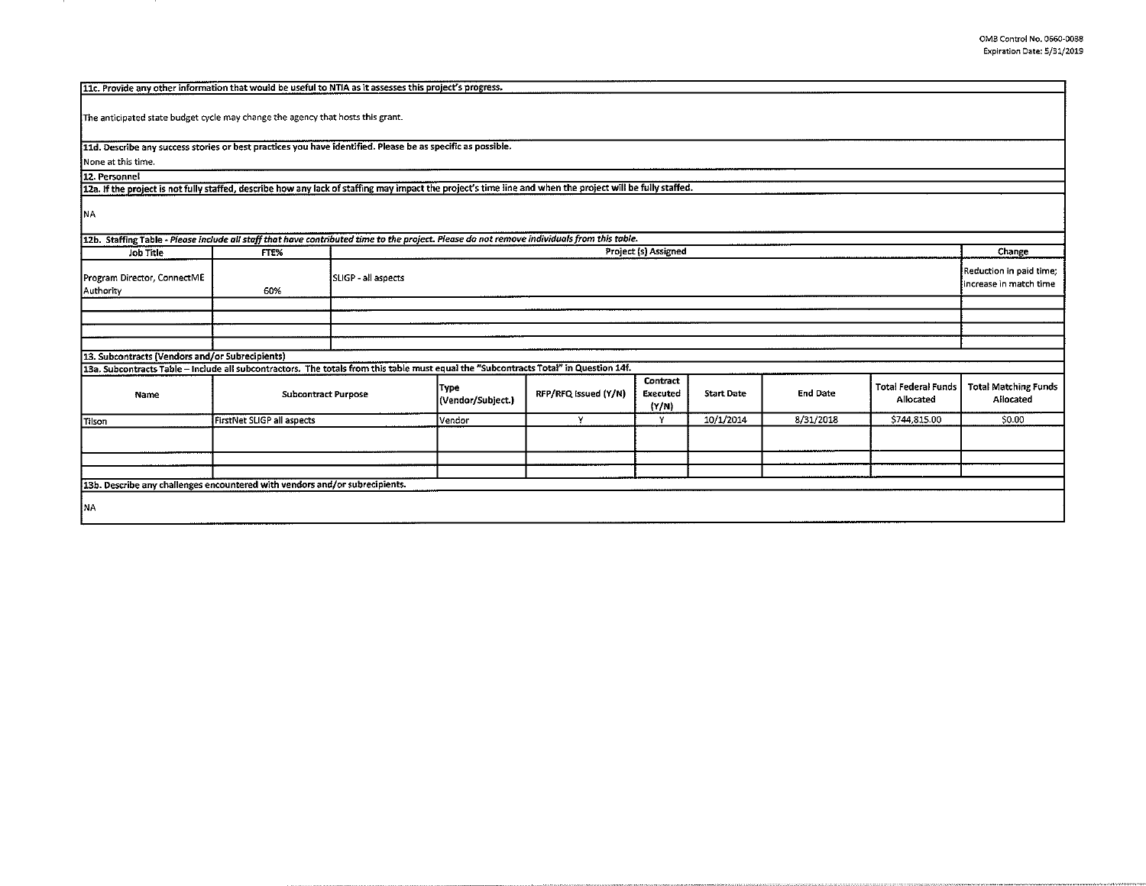| 11c. Provide any other information that would be useful to NTIA as it assesses this project's progress.                                                    |                                   |                     |                           |                      |                               |                   |                 |                                                   |                                          |  |
|------------------------------------------------------------------------------------------------------------------------------------------------------------|-----------------------------------|---------------------|---------------------------|----------------------|-------------------------------|-------------------|-----------------|---------------------------------------------------|------------------------------------------|--|
| The anticipated state budget cycle may change the agency that hosts this grant.                                                                            |                                   |                     |                           |                      |                               |                   |                 |                                                   |                                          |  |
| 11d. Describe any success stories or best practices you have identified. Please be as specific as possible.                                                |                                   |                     |                           |                      |                               |                   |                 |                                                   |                                          |  |
| None at this time.                                                                                                                                         |                                   |                     |                           |                      |                               |                   |                 |                                                   |                                          |  |
| 12. Personnel                                                                                                                                              |                                   |                     |                           |                      |                               |                   |                 |                                                   |                                          |  |
| 12a. If the project is not fully staffed, describe how any lack of staffing may impact the project's time line and when the project will be fully staffed. |                                   |                     |                           |                      |                               |                   |                 |                                                   |                                          |  |
| INA.                                                                                                                                                       |                                   |                     |                           |                      |                               |                   |                 |                                                   |                                          |  |
| 12b. Staffing Table - Please include all staff that have contributed time to the project. Please do not remove individuals from this table.                |                                   |                     |                           |                      |                               |                   |                 |                                                   |                                          |  |
| <b>Job Title</b>                                                                                                                                           | FTE%                              |                     | Project (s) Assigned      |                      |                               |                   |                 |                                                   | Change                                   |  |
| Program Director, ConnectME<br>Authority                                                                                                                   | 60%                               | SLIGP - all aspects |                           |                      |                               |                   |                 | Reduction in paid time;<br>increase in match time |                                          |  |
|                                                                                                                                                            |                                   |                     |                           |                      |                               |                   |                 |                                                   |                                          |  |
|                                                                                                                                                            |                                   |                     |                           |                      |                               |                   |                 |                                                   |                                          |  |
|                                                                                                                                                            |                                   |                     |                           |                      |                               |                   |                 |                                                   |                                          |  |
|                                                                                                                                                            |                                   |                     |                           |                      |                               |                   |                 |                                                   |                                          |  |
| 13. Subcontracts (Vendors and/or Subrecipients)                                                                                                            |                                   |                     |                           |                      |                               |                   |                 |                                                   |                                          |  |
| 13a. Subcontracts Table - Include all subcontractors. The totals from this table must equal the "Subcontracts Total" in Question 14f.                      |                                   |                     |                           |                      |                               |                   |                 |                                                   |                                          |  |
| Name                                                                                                                                                       | <b>Subcontract Purpose</b>        |                     | Type<br>(Vendor/Subject.) | RFP/RFQ Issued (Y/N) | Contract<br>Executed<br>(Y/N) | <b>Start Date</b> | <b>End Date</b> | <b>Total Federal Funds</b><br>Allocated           | <b>Total Matching Funds</b><br>Allocated |  |
| Tilson                                                                                                                                                     | <b>FirstNet SLIGP all aspects</b> |                     | Vendor                    | Y                    | Y                             | 10/1/2014         | 8/31/2018       | \$744,815.00                                      | \$0.00                                   |  |
|                                                                                                                                                            |                                   |                     |                           |                      |                               |                   |                 |                                                   |                                          |  |
|                                                                                                                                                            |                                   |                     |                           |                      |                               |                   |                 |                                                   |                                          |  |
|                                                                                                                                                            |                                   |                     |                           |                      |                               |                   |                 |                                                   |                                          |  |
| 13b. Describe any challenges encountered with vendors and/or subrecipients.                                                                                |                                   |                     |                           |                      |                               |                   |                 |                                                   |                                          |  |
| NA.                                                                                                                                                        |                                   |                     |                           |                      |                               |                   |                 |                                                   |                                          |  |